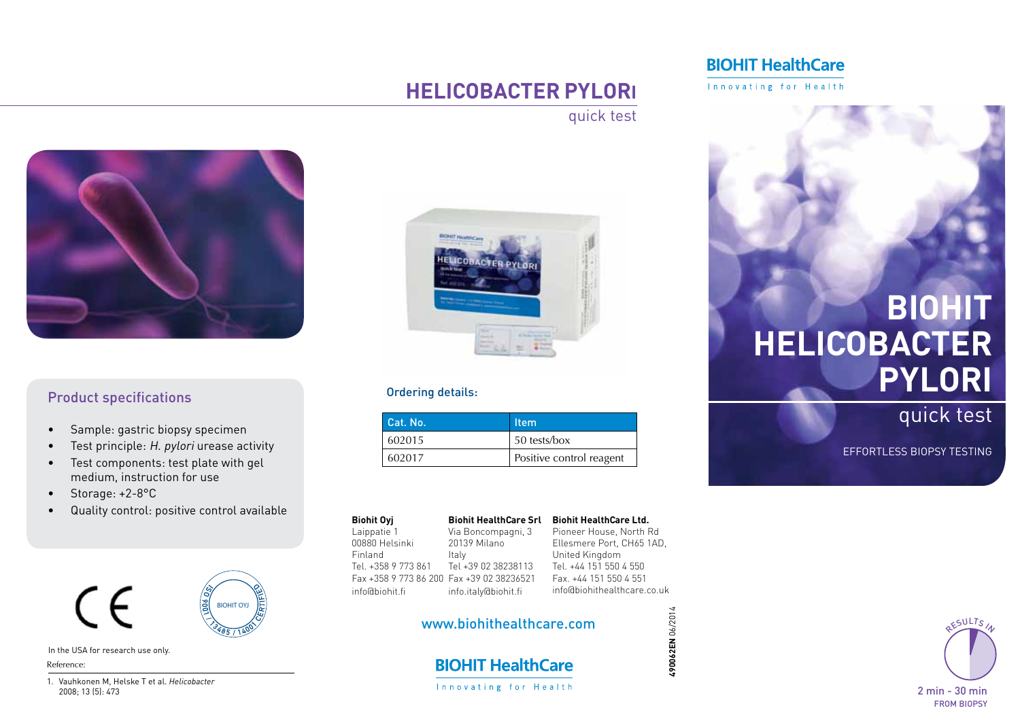#### **BIOHIT HealthCare**

Innovating for Health

Easy-to-use, simple quick test for

## **Helicobacter Pylori**

detection colonies colonies colonies colonies colonies colonies colonies colonies colonies colonies colonies colonies colonies colonies colonies colonies colonies colonies colonies colonies colonies colonies colonies colon quick test



dropper. Drop 3 dropper. Drop 3 drops onto the Sample well of the Sample well of the Sample well of the Sample

#### **Product specifications**

- • Sample: gastric biopsy specimen
- Test principle: H. pylori urease activity
- • Test components: test plate with gel medium, instruction for use
- Storage: +2-8°C
- • Quality control: positive control available



In the USA for research use only.  $\mathcal{S}$ . Yamamoto M. et al. Cost-effectiveness analysis of immunochemi- $\mathcal{S}$ 

cal occurrence:  $\alpha$  occurrence for colorectal cancer among three fecal cancer among three fecal cancer among the fecal cancer among the fecal cancer among the fecal cancer among the fecal cancer among the fecal cancer amo Reference:

1. Vauhkonen M, Helske T et al. *Helicobacter*  2008; 13 (5): 473



#### **Independent Sie bitte per Fax and Sie bitte per Sie bitte per Sie bitte per Sie bitte per Sie bitte per Sie b**

| Cat. No. | tem                      |
|----------|--------------------------|
| 602015   | 50 tests/box             |
| 602017   | Positive control reagent |

| <b>Biohit Oyi</b>                         | <b>Biohit HealthCare Sı</b> |
|-------------------------------------------|-----------------------------|
| Laippatie 1                               | Via Boncompagni, 3          |
| 00880 Helsinki                            | 20139 Milano                |
| Finland                                   | Italy                       |
| Tel. +358 9 773 861                       | Tel +39 02 38238113         |
| Fax +358 9 773 86 200 Fax +39 02 38236521 |                             |
| info@biohit.fi                            | info.italy@biohit.fi        |
|                                           |                             |

Italy **Biometer Computed Alingdom Biohit HealthCare Srl Biohit HealthCare Ltd.** Pioneer House, North Rd Ellesmere Port, CH65 1AD,

861 Tel +39 02 38238113 Tel. +44 151 Fax +39 02 38236521 Fax info.italy@biohit.fi in Tel. +44 151 550 4 550 Fax. +44 151 550 4 551 info@biohithealthcare.co.uk

**490062EN** 06/2014

490062EN 06/2014

# www.biohithealthcare.com<br>.

**BIOHIT HealthCare** Innovating for Health

# **BIOHIT Helicobacter pylori**

quick test

Colony of the colony

**quick the first** 

quick test effortless biopsy testing